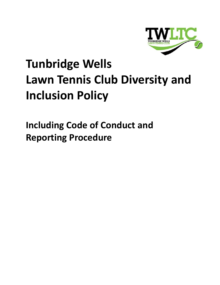

# **Tunbridge Wells Lawn Tennis Club Diversity and Inclusion Policy**

<span id="page-0-0"></span>**Including Code of Conduct and Reporting Procedure**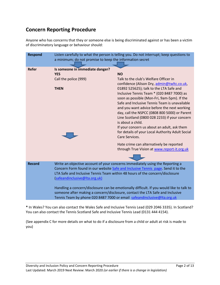# **Concern Reporting Procedure**

Anyone who has concerns that they or someone else is being discriminated against or has been a victim of discriminatory language or behaviour should:

| <b>Respond</b> | Listen carefully to what the person is telling you. Do not interrupt; keep questions to<br>a minimum; do not promise to keep the information secret                                                                                                                                |                                                                                                                                                                                                                                                                                                                                                                                                                                                                                  |
|----------------|------------------------------------------------------------------------------------------------------------------------------------------------------------------------------------------------------------------------------------------------------------------------------------|----------------------------------------------------------------------------------------------------------------------------------------------------------------------------------------------------------------------------------------------------------------------------------------------------------------------------------------------------------------------------------------------------------------------------------------------------------------------------------|
|                |                                                                                                                                                                                                                                                                                    |                                                                                                                                                                                                                                                                                                                                                                                                                                                                                  |
| <b>Refer</b>   | Is someone in immediate danger?                                                                                                                                                                                                                                                    |                                                                                                                                                                                                                                                                                                                                                                                                                                                                                  |
|                | <b>YES</b>                                                                                                                                                                                                                                                                         | <b>NO</b>                                                                                                                                                                                                                                                                                                                                                                                                                                                                        |
|                | Call the police (999)                                                                                                                                                                                                                                                              | Talk to the club's Welfare Officer in<br>confidence (Alison Dry, admin@twltc.co.uk,                                                                                                                                                                                                                                                                                                                                                                                              |
|                | <b>THEN</b>                                                                                                                                                                                                                                                                        | 01892 525625); talk to the LTA Safe and<br>Inclusive Tennis Team * (020 8487 7000) as<br>soon as possible (Mon-Fri, 9am-5pm). If the<br>Safe and Inclusive Tennis Team is unavailable<br>and you want advice before the next working<br>day, call the NSPCC (0808 800 5000) or Parent<br>Line Scotland (0800 028 2233) if your concern<br>is about a child.<br>If your concern us about an adult, ask them<br>for details of your Local Authority Adult Social<br>Care Services. |
|                |                                                                                                                                                                                                                                                                                    | Hate crime can alternatively be reported<br>through True Vision at www.report-it.org.uk                                                                                                                                                                                                                                                                                                                                                                                          |
|                |                                                                                                                                                                                                                                                                                    |                                                                                                                                                                                                                                                                                                                                                                                                                                                                                  |
| <b>Record</b>  | Write an objective account of your concerns immediately using the Reporting a<br>Concern Form found in our website Safe and Inclusive Tennis page. Send it to the<br>LTA Safe and Inclusive Tennis Team within 48 hours of the concern/disclosure<br>(safeandinclusive@Ita.org.uk) |                                                                                                                                                                                                                                                                                                                                                                                                                                                                                  |
|                | Handling a concern/disclosure can be emotionally difficult. If you would like to talk to<br>someone after making a concern/disclosure, contact the LTA Safe and Inclusive<br>Tennis Team by phone 020 8487 7000 or email safeandinclusive@lta.org.uk                               |                                                                                                                                                                                                                                                                                                                                                                                                                                                                                  |

**\*** In Wales? You can also contact the Wales Safe and Inclusive Tennis Lead (029 2046 3335). In Scotland? You can also contact the Tennis Scotland Safe and Inclusive Tennis Lead (0131 444 4154).

(See appendix C for more details on what to do if a disclosure from a child or adult at risk is made to you)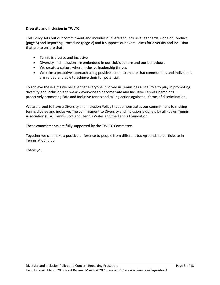# **Diversity and Inclusion in TWLTC**

This Policy sets out our commitment and includes our Safe and Inclusive Standards, Code of Conduct (page 8) and Reporting Procedure (page 2) and it supports our overall aims for diversity and inclusion that are to ensure that:

- Tennis is diverse and inclusive
- Diversity and inclusion are embedded in our club's culture and our behaviours
- We create a culture where inclusive leadership thrives
- We take a proactive approach using positive action to ensure that communities and individuals are valued and able to achieve their full potential.

To achieve these aims we believe that everyone involved in Tennis has a vital role to play in promoting diversity and inclusion and we ask everyone to become Safe and Inclusive Tennis Champions – proactively promoting Safe and Inclusive tennis and taking action against all forms of discrimination.

We are proud to have a Diversity and Inclusion Policy that demonstrates our commitment to making tennis diverse and inclusive. The commitment to Diversity and Inclusion is upheld by all - Lawn Tennis Association (LTA), Tennis Scotland, Tennis Wales and the Tennis Foundation.

These commitments are fully supported by the TWLTC Committee.

Together we can make a positive difference to people from different backgrounds to participate in Tennis at our club.

Thank you.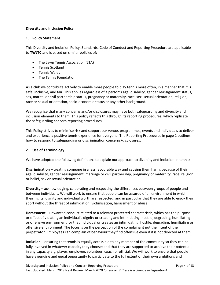# **Diversity and Inclusion Policy**

# **1. Policy Statement**

This Diversity and Inclusion Policy, Standards, Code of Conduct and Reporting Procedure are applicable to **TWLTC** and is based on similar policies of:

- The Lawn Tennis Association (LTA)
- Tennis Scotland
- Tennis Wales
- The Tennis Foundation.

As a club we contribute actively to enable more people to play tennis more often, in a manner that it is safe, inclusive, and fair. This applies regardless of a person's age, disability, gender reassignment status, sex, marital or civil partnership status, pregnancy or maternity, race, sex, sexual orientation, religion, race or sexual orientation, socio-economic status or any other background.

We recognise that many concerns and/or disclosures may have both safeguarding and diversity and inclusion elements to them. This policy reflects this through its reporting procedures, which replicate the safeguarding concern reporting procedures.

This Policy strives to minimise risk and support our venue, programmes, events and individuals to deliver and experience a positive tennis experience for everyone. The Reporting Procedures in page 2 outlines how to respond to safeguarding or discrimination concerns/disclosures.

#### **2. Use of Terminology**

We have adopted the following definitions to explain our approach to diversity and inclusion in tennis:

**Discrimination** – treating someone in a less favourable way and causing them harm, because of their age, disability, gender reassignment, marriage or civil partnership, pregnancy or maternity, race, religion or belief, sex or sexual orientation

**Diversity** – acknowledging, celebrating and respecting the differences between groups of people and between individuals. We will work to ensure that people can be assured of an environment in which their rights, dignity and individual worth are respected, and in particular that they are able to enjoy their sport without the threat of intimidation, victimisation, harassment or abuse.

**Harassment** – unwanted conduct related to a relevant protected characteristic, which has the purpose or effect of violating an individual's dignity or creating and intimidating, hostile, degrading, humiliating or offensive environment for that individual or creates an intimidating, hostile, degrading, humiliating or offensive environment. The focus is on the perception of the complainant not the intent of the perpetrator. Employees can complain of behaviour they find offensive even if it is not directed at them.

**Inclusion** – ensuring that tennis is equally accessible to any member of the community so they can be fully involved in whatever capacity they choose; and that they are supported to achieve their potential in any capacity e.g. player, employee, volunteer, coach or official. We will work to ensure that people have a genuine and equal opportunity to participate to the full extent of their own ambitions and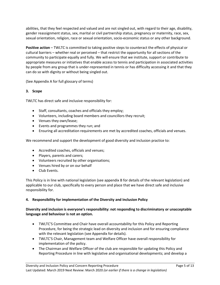abilities, that they feel respected and valued and are not singled out, with regard to their age, disability, gender reassignment status, sex, marital or civil partnership status, pregnancy or maternity, race, sex, sexual orientation, religion, race or sexual orientation, socio-economic status or any other background.

**Positive action** – TWLTC is committed to taking positive steps to counteract the effects of physical or cultural barriers – whether real or perceived – that restrict the opportunity for all sections of the community to participate equally and fully. We will ensure that we institute, support or contribute to appropriate measures or initiatives that enable access to tennis and participation in associated activities by people from any group that is under-represented in tennis or has difficulty accessing it and that they can do so with dignity or without being singled out.

(See Appendix A for full glossary of terms)

# **3. Scope**

TWLTC has direct safe and inclusive responsibility for:

- Staff, consultants, coaches and officials they employ;
- Volunteers, including board members and councillors they recruit;
- Venues they own/lease;
- Events and programmes they run; and
- Ensuring all accreditation requirements are met by accredited coaches, officials and venues.

We recommend and support the development of good diversity and inclusion practice to:

- Accredited coaches, officials and venues;
- Players, parents and carers;
- Volunteers recruited by other organisations;
- Venues hired by or on our behalf
- Club Events.

This Policy is in line with national legislation (see appendix B for details of the relevant legislation) and applicable to our club, specifically to every person and place that we have direct safe and inclusive responsibility for.

# **4. Responsibility for implementation of the Diversity and Inclusion Policy**

# **Diversity and inclusion is everyone's responsibility: not responding to discriminatory or unacceptable language and behaviour is not an option.**

- TWLTC'S Committee and Chair have overall accountability for this Policy and Reporting Procedure, for being the strategic lead on diversity and inclusion and for ensuring compliance with the relevant legislation (see Appendix for details).
- TWLTC'S Chair, Management team and Welfare Officer have overall responsibility for implementation of the policy.
- The Chairman and Welfare Officer of the club are responsible for updating this Policy and Reporting Procedure in line with legislative and organisational developments; and develop a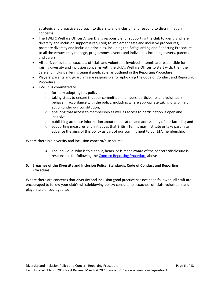strategic and proactive approach to diversity and inclusion and respond to discrimination concerns.

- The TWLTC Welfare Officer Alison Dry is responsible for supporting the club to identify where diversity and inclusion support is required; to implement safe and inclusive procedures; promote diversity and inclusion principles, including the Safeguarding and Reporting Procedure, to all the venues they manage, programmes, events and individuals including players, parents and carers.
- All staff, consultants, coaches, officials and volunteers involved in tennis are responsible for raising diversity and inclusion concerns with the club's Welfare Officer to start with; then the Safe and Inclusive Tennis team if applicable, as outlined in the Reporting Procedure.
- Players, parents and guardians are responsible for upholding the Code of Conduct and Reporting Procedure.
- TWLTC is committed to:
	- $\circ$  formally adopting this policy,
	- $\circ$  taking steps to ensure that our committee, members, participants and volunteers behave in accordance with the policy, including where appropriate taking disciplinary action under our constitution;
	- $\circ$  ensuring that access to membership as well as access to participation is open and inclusive;
	- $\circ$  publishing accurate information about the location and accessibility of our facilities; and
	- $\circ$  supporting measures and initiatives that British Tennis may institute or take part in to advance the aims of this policy as part of our commitment to our LTA membership.

Where there is a diversity and inclusion concern/disclosure:

• The individual who is told about, hears, or is made aware of the concern/disclosure is responsible for following the [Concern Reporting Procedure](#page-0-0) above

# **5. Breaches of the Diversity and Inclusion Policy, Standards, Code of Conduct and Reporting Procedure**

Where there are concerns that diversity and inclusion good practice has not been followed, all staff are encouraged to follow your club's whistleblowing policy; consultants, coaches, officials, volunteers and players are encouraged to: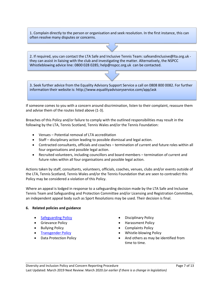1. Complain directly to the person or organisation and seek resolution. In the first instance, this can often resolve many disputes or concerns.

2. If required, you can contact the LTA Safe and Inclusive Tennis Team: safeandinclusive@lta.org.uk they can assist in liaising with the club and investigating the matter. Alternatively, the NSPCC Whistleblowing advice line: 0800 028 0285; help@nspcc.org.uk can be contacted.

3. Seek further advice from the Equality Advisory Support Service a call on 0808 800 0082. For further information their website is: http://www.equalityadvisoryservice.com/app/ask

If someone comes to you with a concern around discrimination, listen to their complaint, reassure them and advise them of the routes listed above (1-3).

Breaches of this Policy and/or failure to comply with the outlined responsibilities may result in the following by the LTA, Tennis Scotland, Tennis Wales and/or the Tennis Foundation:

- Venues Potential removal of LTA accreditation
- Staff disciplinary action leading to possible dismissal and legal action.
- Contracted consultants, officials and coaches termination of current and future roles within all four organisations and possible legal action.
- Recruited volunteers, including councillors and board members termination of current and future roles within all four organisations and possible legal action.

Actions taken by staff, consultants, volunteers, officials, coaches, venues, clubs and/or events outside of the LTA, Tennis Scotland, Tennis Wales and/or the Tennis Foundation that are seen to contradict this Policy may be considered a violation of this Policy.

Where an appeal is lodged in response to a safeguarding decision made by the LTA Safe and Inclusive Tennis Team and Safeguarding and Protection Committee and/or Licensing and Registration Committee, an independent appeal body such as Sport Resolutions may be used. Their decision is final.

#### **6. Related policies and guidance**

- 
- 
- 
- 
- 
- **[Safeguarding Policy](https://www.lta.org.uk/globalassets/about-lta/safeguarding/british-tennis-safeguarding-policy.pdf) Figure 1.5 Contract Contract Contract Contract Contract Contract Contract Contract Contract Contract Contract Contract Contract Contract Contract Contract Contract Contract Contract Contract Contract C**
- Grievance Policy  **Harassment Policy**
- Bullying Policy  **Complaints Policy**
- [Transgender Policy](https://www.lta.org.uk/about-the-lta/policies-and-rules/transgender-policy/)  **Whistle-blowing Policy**
- Data Protection Policy  **And others as may be identified from** time to time.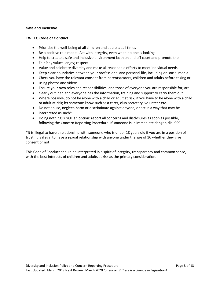# **Safe and Inclusive**

## **TWLTC Code of Conduct**

- Prioritise the well-being of all children and adults at all times
- Be a positive role model. Act with integrity, even when no one is looking
- Help to create a safe and inclusive environment both on and off court and promote the
- Fair Play values: enjoy; respect
- Value and celebrate diversity and make all reasonable efforts to meet individual needs
- Keep clear boundaries between your professional and personal life, including on social media
- Check you have the relevant consent from parents/carers, children and adults before taking or
- using photos and videos
- Ensure your own roles and responsibilities, and those of everyone you are responsible for, are
- clearly outlined and everyone has the information, training and support to carry them out
- Where possible, do not be alone with a child or adult at risk; if you have to be alone with a child or adult at risk; let someone know such as a carer, club secretary, volunteer etc.
- Do not abuse, neglect, harm or discriminate against anyone; or act in a way that may be
- interpreted as such\*
- Doing nothing is NOT an option: report all concerns and disclosures as soon as possible, following the Concern Reporting Procedure. If someone is in immediate danger, dial 999.

\*It is illegal to have a relationship with someone who is under 18 years old if you are in a position of trust; it is illegal to have a sexual relationship with anyone under the age of 16 whether they give consent or not.

This Code of Conduct should be interpreted in a spirit of integrity, transparency and common sense, with the best interests of children and adults at risk as the primary consideration.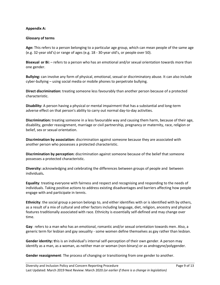# **Appendix A:**

## **Glossary of terms**

**Age:** This refers to a person belonging to a particular age group, which can mean people of the same age (e.g. 32-year old's) or range of ages (e.g. 18 - 30-year old's, or people over 50).

**Bisexual or Bi:** – refers to a person who has an emotional and/or sexual orientation towards more than one gender.

**Bullying:** can involve any form of physical, emotional, sexual or discriminatory abuse. It can also include cyber-bullying – using social media or mobile phones to perpetrate bullying.

**Direct discrimination:** treating someone less favourably than another person because of a protected characteristic.

**Disability:** A person having a physical or mental impairment that has a substantial and long-term adverse effect on that person's ability to carry out normal day-to-day activities.

**Discrimination:** treating someone in a less favourable way and causing them harm, because of their age, disability, gender reassignment, marriage or civil partnership, pregnancy or maternity, race, religion or belief, sex or sexual orientation.

**Discrimination by association:** discrimination against someone because they are associated with another person who possesses a protected characteristic.

**Discrimination by perception:** discrimination against someone because of the belief that someone possesses a protected characteristic.

**Diversity:** acknowledging and celebrating the differences between groups of people and between individuals**.**

**Equality**: treating everyone with fairness and respect and recognising and responding to the needs of individuals. Taking positive actions to address existing disadvantages and barriers affecting how people engage with and participate in tennis.

**Ethnicity**: the social group a person belongs to, and either identifies with or is identified with by others, as a result of a mix of cultural and other factors including language, diet, religion, ancestry and physical features traditionally associated with race. Ethnicity is essentially self-defined and may change over time.

**Gay**: refers to a man who has an emotional, romantic and/or sexual orientation towards men. Also, a generic term for lesbian and gay sexuality - some women define themselves as gay rather than lesbian.

**Gender identity: t**his is an individual's internal self-perception of their own gender. A person may identify as a man, as a woman, as neither man or woman (non-binary) or as androgyne/polygender.

**Gender reassignment**: The process of changing or transitioning from one gender to another.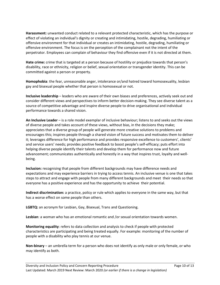**Harassment:** unwanted conduct related to a relevant protected characteristic, which has the purpose or effect of violating an individual's dignity or creating and intimidating, hostile, degrading, humiliating or offensive environment for that individual or creates an intimidating, hostile, degrading, humiliating or offensive environment. The focus is on the perception of the complainant not the intent of the perpetrator. Employees can complain of behaviour they find offensive even if it is not directed at them.

**Hate crime:** crime that is targeted at a person because of hostility or prejudice towards that person's disability, race or ethnicity, religion or belief, sexual orientation or transgender identity. This can be committed against a person or property.

**Homophobia**: the fear, unreasonable anger, intolerance or/and hatred toward homosexuality, lesbian gay and bisexual people whether that person is homosexual or not.

**Inclusive leadership** – leaders who are aware of their own biases and preferences, actively seek out and consider different views and perspectives to inform better decision-making. They see diverse talent as a source of competitive advantage and inspire diverse people to drive organisational and individual performance towards a shared vision.

**An Inclusive Leader** – is a role model exemplar of inclusive behaviour; listens to and seeks out the views of diverse people and takes account of these views, without bias, in the decisions they make; appreciates that a diverse group of people will generate more creative solutions to problems and encourages this; inspires people through a shared vision of future success and motivates them to deliver it; leverages difference for high performance and provides responsive excellence to customers', clients' and service users' needs; provides positive feedback to boost people's self-efficacy; puts effort into helping diverse people identify their talents and develop them for performance now and future advancement; communicates authentically and honestly in a way that inspires trust, loyalty and wellbeing.

**Inclusion:** recognising that people from different backgrounds may have difference needs and expectations and may experience barriers in trying to access tennis. An inclusive venue is one that takes steps to attract and engage with people from many different backgrounds and meet their needs so that everyone has a positive experience and has the opportunity to achieve their potential.

**Indirect discrimination:** a practice, policy or rule which applies to everyone in the same way, but that has a worse effect on some people than others.

**LGBTQ:** an acronym for Lesbian, Gay, Bisexual, Trans and Questioning.

**Lesbian**: a woman who has an emotional romantic and /or sexual orientation towards women.

**Monitoring equality**: refers to data collection and analysis to check if people with protected characteristics are participating and being treated equally. For example: monitoring of the number of people with a disability who play tennis at our venue.

**Non-binary** – an umbrella term for a person who does not identify as only male or only female, or who may identify as both.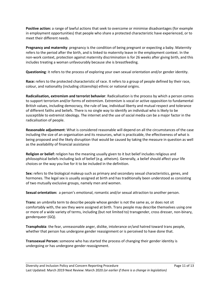**Positive action:** a range of lawful actions that seek to overcome or minimise disadvantages (for example in employment opportunities) that people who share a protected characteristic have experienced, or to meet their different needs.

**Pregnancy and maternity**: pregnancy is the condition of being pregnant or expecting a baby. Maternity refers to the period after the birth, and is linked to maternity leave in the employment context. In the non-work context, protection against maternity discrimination is for 26 weeks after giving birth, and this includes treating a woman unfavourably because she is breastfeeding.

**Questioning**: it refers to the process of exploring your own sexual orientation and/or gender identity.

**Race:** refers to the protected characteristic of race. It refers to a group of people defined by their race, colour, and nationality (including citizenship) ethnic or national origins.

**Radicalisation, extremism and terrorist behavior**: Radicalisation is the process by which a person comes to support terrorism and/or forms of extremism. Extremism is vocal or active opposition to fundamental British values, including democracy, the rule of law, individual liberty and mutual respect and tolerance of different faiths and beliefs. There is no single way to identify an individual who is likely to be susceptible to extremist ideology. The internet and the use of social media can be a major factor in the radicalisation of people.

**Reasonable adjustment**: What is considered reasonable will depend on all the circumstances of the case including the size of an organisation and its resources, what is practicable, the effectiveness of what is being proposed and the likely disruption that would be caused by taking the measure in question as well as the availability of financial assistance

**Religion or belief:** religion has the meaning usually given to it but belief includes religious and philosophical beliefs including lack of belief (e.g. atheism). Generally, a belief should affect your life choices or the way you live for it to be included in the definition.

**Sex:** refers to the biological makeup such as primary and secondary sexual characteristics, genes, and hormones. The legal sex is usually assigned at birth and has traditionally been understood as consisting of two mutually exclusive groups, namely men and women.

**Sexual orientation:** a person's emotional, romantic and/or sexual attraction to another person.

**Trans:** an umbrella term to describe people whose gender is not the same as, or does not sit comfortably with, the sex they were assigned at birth. Trans people may describe themselves using one or more of a wide variety of terms, including (but not limited to) transgender, cross dresser, non-binary, genderqueer (GQ).

**Transphobia**: the fear, unreasonable anger, dislike, intolerance or/and hatred toward trans people, whether that person has undergone gender reassignment or is perceived to have done that.

**Transsexual Person:** someone who has started the process of changing their gender identity is undergoing or has undergone gender reassignment.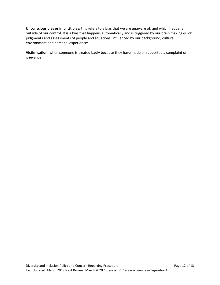**Unconscious bias or implicit bias:** this refers to a bias that we are unaware of, and which happens outside of our control. It is a bias that happens automatically and is triggered by our brain making quick judgments and assessments of people and situations, influenced by our background, cultural environment and personal experiences.

**Victimisation:** when someone is treated badly because they have made or supported a complaint or grievance.